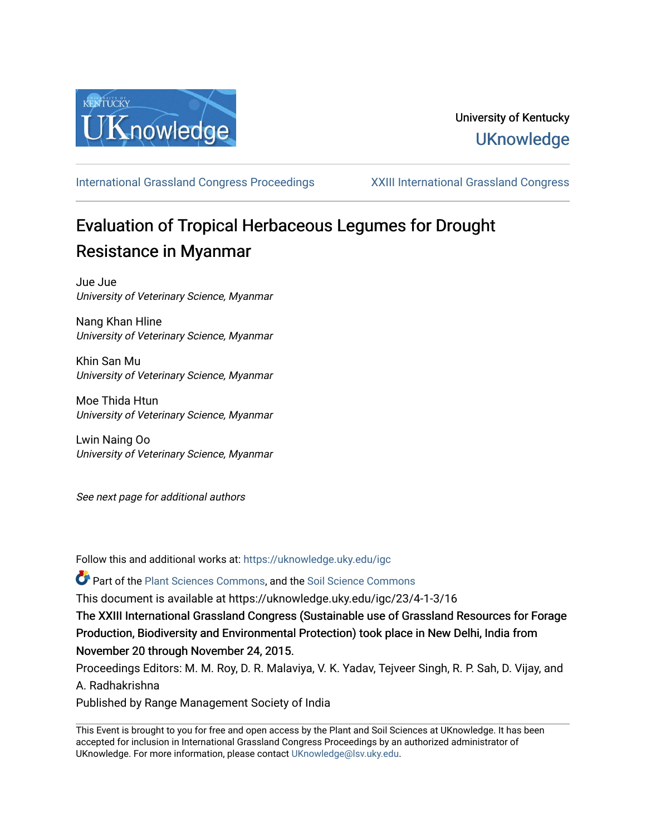

# University of Kentucky **UKnowledge**

[International Grassland Congress Proceedings](https://uknowledge.uky.edu/igc) [XXIII International Grassland Congress](https://uknowledge.uky.edu/igc/23) 

# Evaluation of Tropical Herbaceous Legumes for Drought Resistance in Myanmar

Jue Jue University of Veterinary Science, Myanmar

Nang Khan Hline University of Veterinary Science, Myanmar

Khin San Mu University of Veterinary Science, Myanmar

Moe Thida Htun University of Veterinary Science, Myanmar

Lwin Naing Oo University of Veterinary Science, Myanmar

See next page for additional authors

Follow this and additional works at: [https://uknowledge.uky.edu/igc](https://uknowledge.uky.edu/igc?utm_source=uknowledge.uky.edu%2Figc%2F23%2F4-1-3%2F16&utm_medium=PDF&utm_campaign=PDFCoverPages) 

Part of the [Plant Sciences Commons](http://network.bepress.com/hgg/discipline/102?utm_source=uknowledge.uky.edu%2Figc%2F23%2F4-1-3%2F16&utm_medium=PDF&utm_campaign=PDFCoverPages), and the [Soil Science Commons](http://network.bepress.com/hgg/discipline/163?utm_source=uknowledge.uky.edu%2Figc%2F23%2F4-1-3%2F16&utm_medium=PDF&utm_campaign=PDFCoverPages) 

This document is available at https://uknowledge.uky.edu/igc/23/4-1-3/16

The XXIII International Grassland Congress (Sustainable use of Grassland Resources for Forage Production, Biodiversity and Environmental Protection) took place in New Delhi, India from November 20 through November 24, 2015.

Proceedings Editors: M. M. Roy, D. R. Malaviya, V. K. Yadav, Tejveer Singh, R. P. Sah, D. Vijay, and A. Radhakrishna

Published by Range Management Society of India

This Event is brought to you for free and open access by the Plant and Soil Sciences at UKnowledge. It has been accepted for inclusion in International Grassland Congress Proceedings by an authorized administrator of UKnowledge. For more information, please contact [UKnowledge@lsv.uky.edu](mailto:UKnowledge@lsv.uky.edu).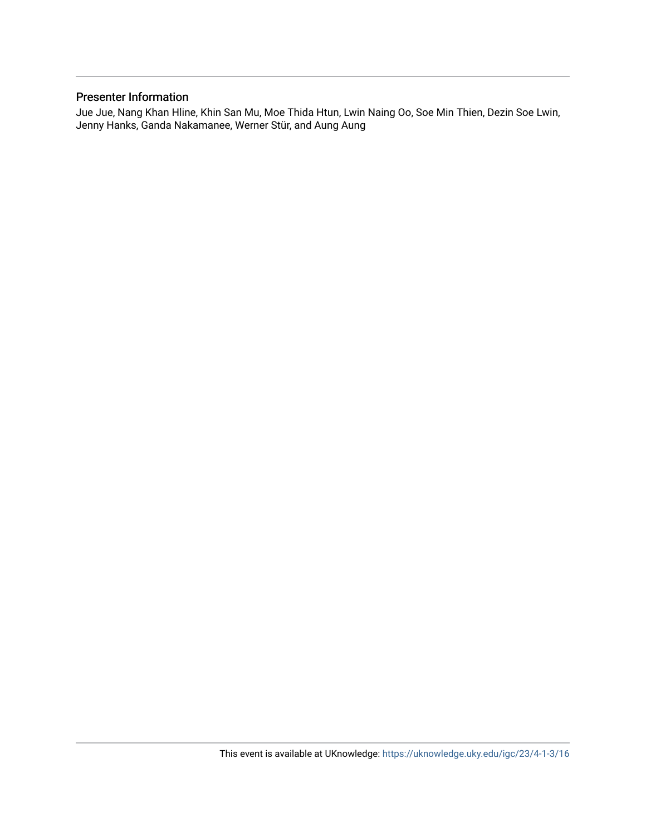# Presenter Information

Jue Jue, Nang Khan Hline, Khin San Mu, Moe Thida Htun, Lwin Naing Oo, Soe Min Thien, Dezin Soe Lwin, Jenny Hanks, Ganda Nakamanee, Werner Stür, and Aung Aung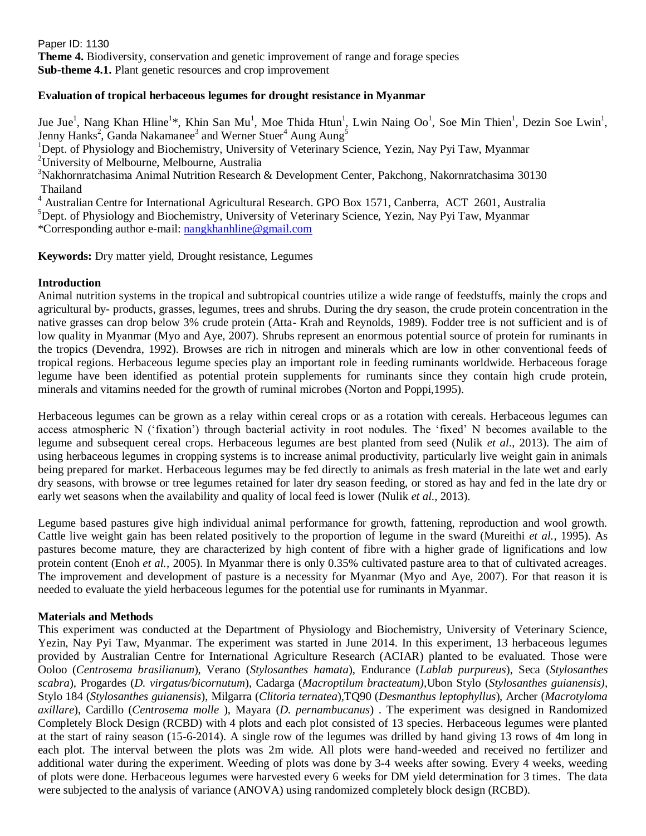Paper ID: 1130 **Theme 4.** Biodiversity, conservation and genetic improvement of range and forage species **Sub-theme 4.1.** Plant genetic resources and crop improvement

## **Evaluation of tropical herbaceous legumes for drought resistance in Myanmar**

Jue Jue<sup>1</sup>, Nang Khan Hline<sup>1\*</sup>, Khin San Mu<sup>1</sup>, Moe Thida Htun<sup>1</sup>, Lwin Naing Oo<sup>1</sup>, Soe Min Thien<sup>1</sup>, Dezin Soe Lwin<sup>1</sup>, Jenny Hanks<sup>2</sup>, Ganda Nakamanee<sup>3</sup> and Werner Stuer<sup>4</sup> Aung Aung<sup>5</sup>

<sup>1</sup>Dept. of Physiology and Biochemistry, University of Veterinary Science, Yezin, Nay Pyi Taw, Myanmar <sup>2</sup>University of Melbourne, Melbourne, Australia

<sup>3</sup>Nakhornratchasima Animal Nutrition Research & Development Center, Pakchong, Nakornratchasima 30130 Thailand

<sup>4</sup> Australian Centre for International Agricultural Research. GPO Box 1571, Canberra, ACT 2601, Australia  ${}^{5}$ Dept. of Physiology and Biochemistry, University of Veterinary Science, Yezin, Nay Pyi Taw, Myanmar \*Corresponding author e-mail: [nangkhanhline@gmail.com](mailto:nangkhanhline@gmail.com)

**Keywords:** Dry matter yield, Drought resistance, Legumes

## **Introduction**

Animal nutrition systems in the tropical and subtropical countries utilize a wide range of feedstuffs, mainly the crops and agricultural by- products, grasses, legumes, trees and shrubs. During the dry season, the crude protein concentration in the native grasses can drop below 3% crude protein (Atta- Krah and Reynolds, 1989). Fodder tree is not sufficient and is of low quality in Myanmar (Myo and Aye, 2007). Shrubs represent an enormous potential source of protein for ruminants in the tropics (Devendra, 1992). Browses are rich in nitrogen and minerals which are low in other conventional feeds of tropical regions. Herbaceous legume species play an important role in feeding ruminants worldwide. Herbaceous forage legume have been identified as potential protein supplements for ruminants since they contain high crude protein, minerals and vitamins needed for the growth of ruminal microbes (Norton and Poppi,1995).

Herbaceous legumes can be grown as a relay within cereal crops or as a rotation with cereals. Herbaceous legumes can access atmospheric N ('fixation') through bacterial activity in root nodules. The 'fixed' N becomes available to the legume and subsequent cereal crops. Herbaceous legumes are best planted from seed (Nulik *et al*., 2013). The aim of using herbaceous legumes in cropping systems is to increase animal productivity, particularly live weight gain in animals being prepared for market. Herbaceous legumes may be fed directly to animals as fresh material in the late wet and early dry seasons, with browse or tree legumes retained for later dry season feeding, or stored as hay and fed in the late dry or early wet seasons when the availability and quality of local feed is lower (Nulik *et al.,* 2013).

Legume based pastures give high individual animal performance for growth, fattening, reproduction and wool growth. Cattle live weight gain has been related positively to the proportion of legume in the sward (Mureithi *et al.,* 1995). As pastures become mature, they are characterized by high content of fibre with a higher grade of lignifications and low protein content (Enoh *et al.,* 2005). In Myanmar there is only 0.35% cultivated pasture area to that of cultivated acreages. The improvement and development of pasture is a necessity for Myanmar (Myo and Aye, 2007). For that reason it is needed to evaluate the yield herbaceous legumes for the potential use for ruminants in Myanmar.

# **Materials and Methods**

This experiment was conducted at the Department of Physiology and Biochemistry, University of Veterinary Science, Yezin, Nay Pyi Taw, Myanmar. The experiment was started in June 2014. In this experiment, 13 herbaceous legumes provided by Australian Centre for International Agriculture Research (ACIAR) planted to be evaluated. Those were Ooloo (*Centrosema brasilianum*), Verano (*Stylosanthes hamata*), Endurance (*Lablab purpureus*), Seca (*Stylosanthes scabra*), Progardes (*D. virgatus/bicornutum*), Cadarga (*Macroptilum bracteatum),*Ubon Stylo (*Stylosanthes guianensis),*  Stylo 184 (*Stylosanthes guianensis*), Milgarra (*Clitoria ternatea*),TQ90 (*Desmanthus leptophyllus*), Archer (*Macrotyloma axillare*), Cardillo (*Centrosema molle* ), Mayara (*D. pernambucanus*) . The experiment was designed in Randomized Completely Block Design (RCBD) with 4 plots and each plot consisted of 13 species. Herbaceous legumes were planted at the start of rainy season (15-6-2014). A single row of the legumes was drilled by hand giving 13 rows of 4m long in each plot. The interval between the plots was 2m wide. All plots were hand-weeded and received no fertilizer and additional water during the experiment. Weeding of plots was done by 3-4 weeks after sowing. Every 4 weeks, weeding of plots were done. Herbaceous legumes were harvested every 6 weeks for DM yield determination for 3 times. The data were subjected to the analysis of variance (ANOVA) using randomized completely block design (RCBD).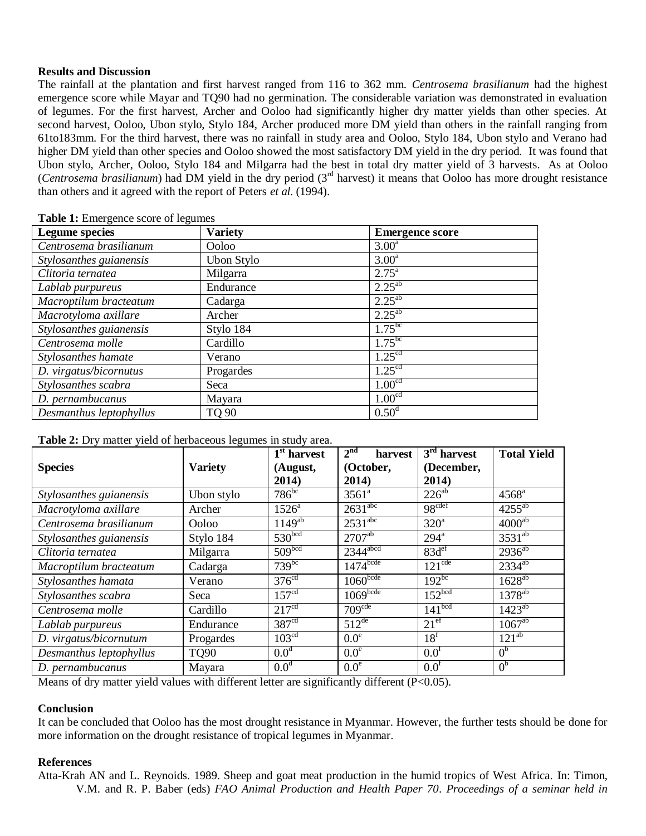#### **Results and Discussion**

The rainfall at the plantation and first harvest ranged from 116 to 362 mm. *Centrosema brasilianum* had the highest emergence score while Mayar and TQ90 had no germination. The considerable variation was demonstrated in evaluation of legumes. For the first harvest, Archer and Ooloo had significantly higher dry matter yields than other species. At second harvest, Ooloo, Ubon stylo, Stylo 184, Archer produced more DM yield than others in the rainfall ranging from 61to183mm. For the third harvest, there was no rainfall in study area and Ooloo, Stylo 184, Ubon stylo and Verano had higher DM yield than other species and Ooloo showed the most satisfactory DM yield in the dry period. It was found that Ubon stylo, Archer, Ooloo, Stylo 184 and Milgarra had the best in total dry matter yield of 3 harvests. As at Ooloo (*Centrosema brasilianum*) had DM yield in the dry period (3rd harvest) it means that Ooloo has more drought resistance than others and it agreed with the report of Peters *et al.* (1994).

| <b>Legume species</b>   | <b>Variety</b> | <b>Emergence score</b> |
|-------------------------|----------------|------------------------|
| Centrosema brasilianum  | Ooloo          | 3.00 <sup>a</sup>      |
| Stylosanthes guianensis | Ubon Stylo     | 3.00 <sup>a</sup>      |
| Clitoria ternatea       | Milgarra       | $2.75^{\circ}$         |
| Lablab purpureus        | Endurance      | $2.25^{ab}$            |
| Macroptilum bracteatum  | Cadarga        | $2.25^{ab}$            |
| Macrotyloma axillare    | Archer         | $2.25^{ab}$            |
| Stylosanthes guianensis | Stylo 184      | $1.75^{bc}$            |
| Centrosema molle        | Cardillo       | $1.75^{bc}$            |
| Stylosanthes hamate     | Verano         | 1.25 <sup>cd</sup>     |
| D. virgatus/bicornutus  | Progardes      | 1.25 <sup>cd</sup>     |
| Stylosanthes scabra     | Seca           | 1.00 <sup>cd</sup>     |
| D. pernambucanus        | Mayara         | 1.00 <sup>cd</sup>     |
| Desmanthus leptophyllus | TQ 90          | 0.50 <sup>d</sup>      |

**Table 1:** Emergence score of legumes

#### **Table 2:** Dry matter yield of herbaceous legumes in study area.

|                         |                | $\overline{1^{st}}$ harvest | 2 <sup>nd</sup><br>harvest | $\overline{3}^{\text{rd}}$ harvest | <b>Total Yield</b>  |
|-------------------------|----------------|-----------------------------|----------------------------|------------------------------------|---------------------|
| <b>Species</b>          | <b>Variety</b> | (August,                    | (October,                  | (December,                         |                     |
|                         |                | 2014)                       | 2014)                      | 2014)                              |                     |
| Stylosanthes guianensis | Ubon stylo     | $786^{bc}$                  | $3561^{\circ}$             | $226^{ab}$                         | $4568$ <sup>a</sup> |
| Macrotyloma axillare    | Archer         | $1526^a$                    | $2631^{\text{abc}}$        | 98 <sup>cdef</sup>                 | $4255^{ab}$         |
| Centrosema brasilianum  | Ooloo          | $1149^{ab}$                 | $2531^{\text{abc}}$        | $320^a$                            | $4000^{ab}$         |
| Stylosanthes guianensis | Stylo 184      | 530 <sup>bcd</sup>          | $270\overline{7}^{ab}$     | $294^{\mathrm{a}}$                 | $3531^{ab}$         |
| Clitoria ternatea       | Milgarra       | 509 <sup>bcd</sup>          | $2344$ <sup>abcd</sup>     | 83d <sup>ef</sup>                  | $2936^{ab}$         |
| Macroptilum bracteatum  | Cadarga        | $739^{bc}$                  | $1474$ bcde                | $121^{\text{cde}}$                 | $2334^{ab}$         |
| Stylosanthes hamata     | Verano         | 376 <sup>cd</sup>           | 1060 <sup>bcde</sup>       | $192^{bc}$                         | $1628^{ab}$         |
| Stylosanthes scabra     | Seca           | 157 <sup>cd</sup>           | $1069$ bcde                | 152 <sup>bcd</sup>                 | $1378^{ab}$         |
| Centrosema molle        | Cardillo       | 217 <sup>cd</sup>           | 709 <sup>cde</sup>         | 141 <sup>bcd</sup>                 | $1423^{ab}$         |
| Lablab purpureus        | Endurance      | 387 <sup>cd</sup>           | $512^{de}$                 | 21 <sup>ef</sup>                   | $1067^{ab}$         |
| D. virgatus/bicornutum  | Progardes      | 103 <sup>cd</sup>           | 0.0 <sup>e</sup>           | 18 <sup>f</sup>                    | $121^{ab}$          |
| Desmanthus leptophyllus | <b>TQ90</b>    | 0.0 <sup>d</sup>            | 0.0 <sup>e</sup>           | 0.0 <sup>f</sup>                   | 0 <sup>b</sup>      |
| D. pernambucanus        | Mayara         | 0.0 <sup>d</sup>            | 0.0 <sup>e</sup>           | 0.0 <sup>t</sup>                   | 0 <sup>b</sup>      |

Means of dry matter yield values with different letter are significantly different  $(P<0.05)$ .

#### **Conclusion**

It can be concluded that Ooloo has the most drought resistance in Myanmar. However, the further tests should be done for more information on the drought resistance of tropical legumes in Myanmar.

#### **References**

Atta-Krah AN and L. Reynoids. 1989. Sheep and goat meat production in the humid tropics of West Africa. In: Timon, V.M. and R. P. Baber (eds) *FAO Animal Production and Health Paper 70*. *Proceedings of a seminar held in*